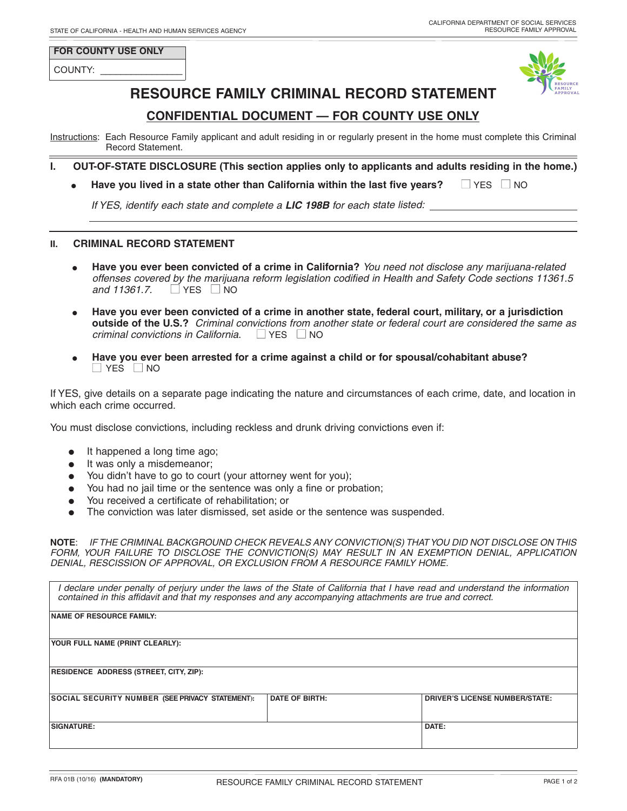#### **FOR COUNTY USE ONLY**

COUNTY:



# **RESOURCE FAMILY CRIMINAL RECORD STATEMENT**

# **CONFIDENTIAL DOCUMENT — FOR COUNTY USE ONLY**

Instructions: Each Resource Family applicant and adult residing in or regularly present in the home must complete this Criminal Record Statement.

- **I. OUT-OF-STATE DISCLOSURE (This section applies only to applicants and adults residing in the home.)**
	- **Have you lived in <sup>a</sup> state other than California within the last five years?** YES NO

*If YES, identify each state and complete <sup>a</sup> LIC 198B for each state listed:*

#### **II. CRIMINAL RECORD STATEMENT**

- **Have you ever been convicted of a crime in California?** *You need not disclose any marijuana-related offenses covered by the marijuana reform legislation codified in Health and Safety Code sections 11361.5*  $and$  **11361.7.**  $\Box$  YES  $\Box$  NO
- **Have you ever been convicted of a crime in another state, federal court, military, or a jurisdiction outside of the U.S.?** *Criminal convictions from another state or federal court are considered the same as criminal convictions in California*. ■ YES ■ NO
- **Have you ever been arrested for a crime against a child or for spousal/cohabitant abuse?**  $\Box$  YES  $\Box$  NO

If YES, give details on a separate page indicating the nature and circumstances of each crime, date, and location in which each crime occurred.

You must disclose convictions, including reckless and drunk driving convictions even if:

- It happened a long time ago;
- It was only a misdemeanor;
- You didn't have to go to court (your attorney went for you);
- You had no jail time or the sentence was only a fine or probation;
- You received a certificate of rehabilitation; or
- The conviction was later dismissed, set aside or the sentence was suspended.

**NOTE**: *IF THE CRIMINAL BACKGROUND CHECK REVEALS ANY CONVICTION(S) THATYOU DID NOT DISCLOSE ON THIS FORM, YOUR FAILURE TO DISCLOSE THE CONVICTION(S) MAY RESULT IN AN EXEMPTION DENIAL, APPLICATION DENIAL, RESCISSION OF APPROVAL, OR EXCLUSION FROM A RESOURCE FAMILY HOME.*

| I declare under penalty of perjury under the laws of the State of California that I have read and understand the information<br>contained in this affidavit and that my responses and any accompanying attachments are true and correct. |                       |                                       |  |
|------------------------------------------------------------------------------------------------------------------------------------------------------------------------------------------------------------------------------------------|-----------------------|---------------------------------------|--|
| <b>NAME OF RESOURCE FAMILY:</b>                                                                                                                                                                                                          |                       |                                       |  |
| <b>YOUR FULL NAME (PRINT CLEARLY):</b>                                                                                                                                                                                                   |                       |                                       |  |
|                                                                                                                                                                                                                                          |                       |                                       |  |
| <b>RESIDENCE ADDRESS (STREET, CITY, ZIP):</b>                                                                                                                                                                                            |                       |                                       |  |
| SOCIAL SECURITY NUMBER (SEE PRIVACY STATEMENT):                                                                                                                                                                                          | <b>DATE OF BIRTH:</b> | <b>DRIVER'S LICENSE NUMBER/STATE:</b> |  |
| <b>SIGNATURE:</b>                                                                                                                                                                                                                        |                       | DATE:                                 |  |